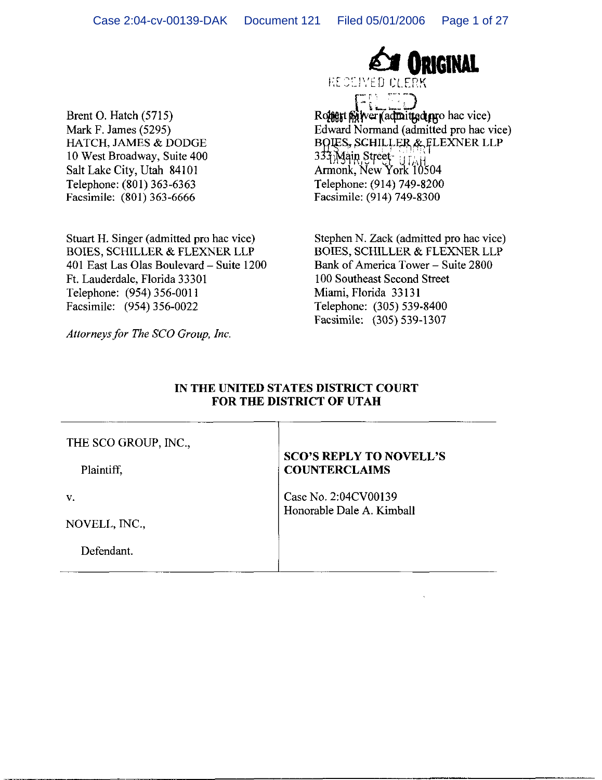Brent O. Hatch (5715) Mark F. James (5295) HATCH, JAMES & DODGE 10 West Broadway, Suite 400 Salt Lake City, Utah 84101 Telephone: (801) 363-6363 Facsimile: (801) 363-6666

Stuart H. Singer (admitted pro hac vice) **BOIES, SCHILLER & FLEXNER LLP** 401 East Las Olas Boulevard - Suite 1200 Ft. Lauderdale, Florida 33301 Telephone: (954) 356-0011 Facsimile: (954) 356-0022

Attorneys for The SCO Group, Inc.

**ORIGINAL** 

RECEIVED OF FRK en<br>Presidente

Romert pilver (admitted mro hac vice) Edward Normand (admitted pro hac vice) **BOIES, SCHILLER & FLEXNER LLP** 333 Main Street SSERVER STOCK UTAH Armonk, New York 10504 Telephone: (914) 749-8200 Facsimile: (914) 749-8300

Stephen N. Zack (admitted pro hac vice) **BOIES, SCHILLER & FLEXNER LLP** Bank of America Tower - Suite 2800 100 Southeast Second Street Miami, Florida 33131 Telephone: (305) 539-8400 Facsimile: (305) 539-1307

## IN THE UNITED STATES DISTRICT COURT FOR THE DISTRICT OF UTAH

## THE SCO GROUP, INC.,

Plaintiff,

V.

NOVELL, INC.,

Defendant.

## **SCO'S REPLY TO NOVELL'S COUNTERCLAIMS**

Case No. 2:04CV00139 Honorable Dale A. Kimball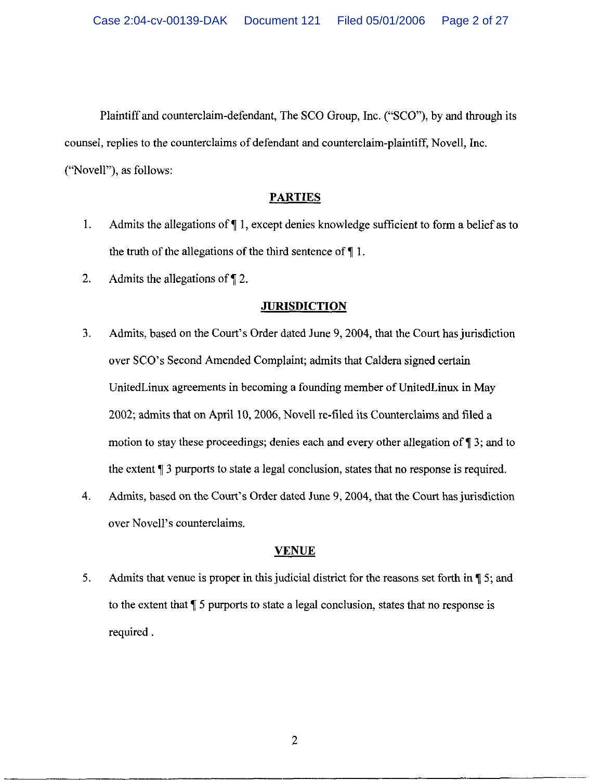Plaintiff and counterclaim-defendant, The SCO Group, Inc. ("SCO"), by and through its counsel, replies to the counterclaims of defendant and counterclaim-plaintiff, Novell, Inc. ("Novell"), as follows:

## **PARTIES**

- Admits the allegations of  $\P$  1, except denies knowledge sufficient to form a belief as to  $1.$ the truth of the allegations of the third sentence of  $\P$ 1.
- $2.$ Admits the allegations of  $\P$  2.

## **JURISDICTION**

- $3.$ Admits, based on the Court's Order dated June 9, 2004, that the Court has jurisdiction over SCO's Second Amended Complaint; admits that Caldera signed certain United Linux agreements in becoming a founding member of United Linux in May 2002; admits that on April 10, 2006, Novell re-filed its Counterclaims and filed a motion to stay these proceedings; denies each and every other allegation of  $\P$  3; and to the extent ¶ 3 purports to state a legal conclusion, states that no response is required.
- $\overline{4}$ . Admits, based on the Court's Order dated June 9, 2004, that the Court has jurisdiction over Novell's counterclaims.

## **VENUE**

5. Admits that venue is proper in this judicial district for the reasons set forth in  $\P$  5; and to the extent that  $\sqrt{\ }$  5 purports to state a legal conclusion, states that no response is required.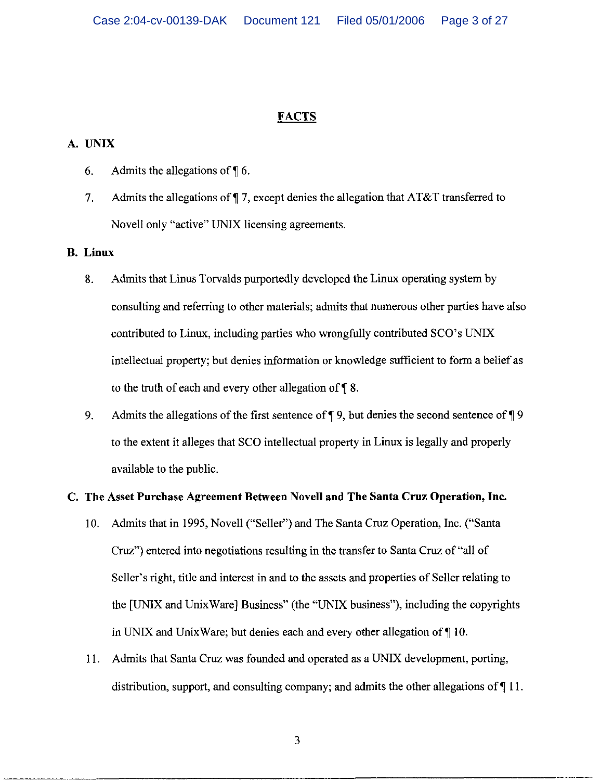# **FACTS**

## A. UNIX

- 6. Admits the allegations of  $\P$  6.
- $7<sub>1</sub>$ Admits the allegations of  $\P$  7, except denies the allegation that AT&T transferred to Novell only "active" UNIX licensing agreements.

#### **B.** Linux

- Admits that Linus Torvalds purportedly developed the Linux operating system by 8. consulting and referring to other materials; admits that numerous other parties have also contributed to Linux, including parties who wrongfully contributed SCO's UNIX intellectual property; but denies information or knowledge sufficient to form a belief as to the truth of each and every other allegation of  $\P$  8.
- 9. Admits the allegations of the first sentence of  $\P$  9, but denies the second sentence of  $\P$  9 to the extent it alleges that SCO intellectual property in Linux is legally and properly available to the public.

## C. The Asset Purchase Agreement Between Novell and The Santa Cruz Operation, Inc.

- 10. Admits that in 1995, Novell ("Seller") and The Santa Cruz Operation, Inc. ("Santa Cruz") entered into negotiations resulting in the transfer to Santa Cruz of "all of Seller's right, title and interest in and to the assets and properties of Seller relating to the [UNIX and UnixWare] Business" (the "UNIX business"), including the copyrights in UNIX and UnixWare; but denies each and every other allegation of ¶10.
- 11. Admits that Santa Cruz was founded and operated as a UNIX development, porting, distribution, support, and consulting company; and admits the other allegations of  $\P$  11.

3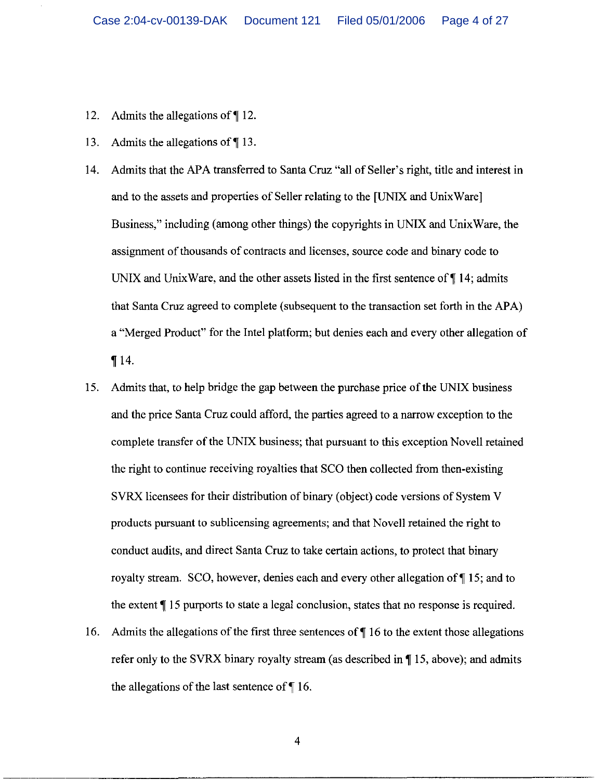- $12.$ Admits the allegations of  $\P$  12.
- Admits the allegations of  $\P$  13. 13.
- 14. Admits that the APA transferred to Santa Cruz "all of Seller's right, title and interest in and to the assets and properties of Seller relating to the [UNIX and Unix Ware] Business," including (among other things) the copyrights in UNIX and UnixWare, the assignment of thousands of contracts and licenses, source code and binary code to UNIX and UnixWare, and the other assets listed in the first sentence of  $\P$  14; admits that Santa Cruz agreed to complete (subsequent to the transaction set forth in the APA) a "Merged Product" for the Intel platform; but denies each and every other allegation of  $\P 14.$
- Admits that, to help bridge the gap between the purchase price of the UNIX business 15. and the price Santa Cruz could afford, the parties agreed to a narrow exception to the complete transfer of the UNIX business; that pursuant to this exception Novell retained the right to continue receiving royalties that SCO then collected from then-existing SVRX licensees for their distribution of binary (object) code versions of System V products pursuant to sublicensing agreements; and that Novell retained the right to conduct audits, and direct Santa Cruz to take certain actions, to protect that binary royalty stream. SCO, however, denies each and every other allegation of \[\epsilon 15; and to the extent ¶ 15 purports to state a legal conclusion, states that no response is required.
- 16. Admits the allegations of the first three sentences of  $\P$  16 to the extent those allegations refer only to the SVRX binary royalty stream (as described in  $\P$  15, above); and admits the allegations of the last sentence of  $\P$  16.

 $\overline{\mathbf{4}}$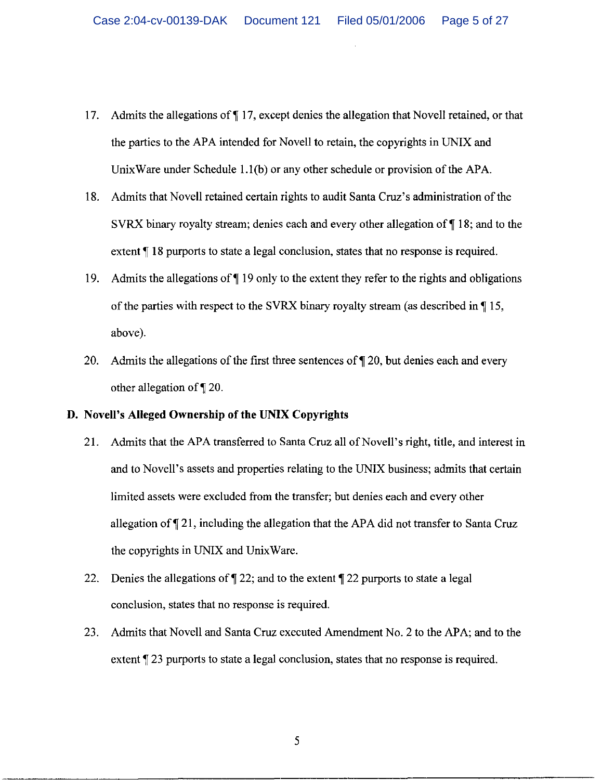- 17. Admits the allegations of ¶17, except denies the allegation that Novell retained, or that the parties to the APA intended for Novell to retain, the copyrights in UNIX and UnixWare under Schedule  $1.1(b)$  or any other schedule or provision of the APA.
- 18. Admits that Novell retained certain rights to audit Santa Cruz's administration of the SVRX binary royalty stream; denies each and every other allegation of \[\ended 18; and to the extent ¶ 18 purports to state a legal conclusion, states that no response is required.
- 19. Admits the allegations of  $\P$  19 only to the extent they refer to the rights and obligations of the parties with respect to the SVRX binary royalty stream (as described in \[\epsilon 15, above).
- 20. Admits the allegations of the first three sentences of  $\P$  20, but denies each and every other allegation of ¶ 20.

## D. Novell's Alleged Ownership of the UNIX Copyrights

- 21. Admits that the APA transferred to Santa Cruz all of Novell's right, title, and interest in and to Novell's assets and properties relating to the UNIX business; admits that certain limited assets were excluded from the transfer; but denies each and every other allegation of  $\P$  21, including the allegation that the APA did not transfer to Santa Cruz the copyrights in UNIX and UnixWare.
- 22. Denies the allegations of  $\P$  22; and to the extent  $\P$  22 purports to state a legal conclusion, states that no response is required.
- 23. Admits that Novell and Santa Cruz executed Amendment No. 2 to the APA; and to the extent ¶ 23 purports to state a legal conclusion, states that no response is required.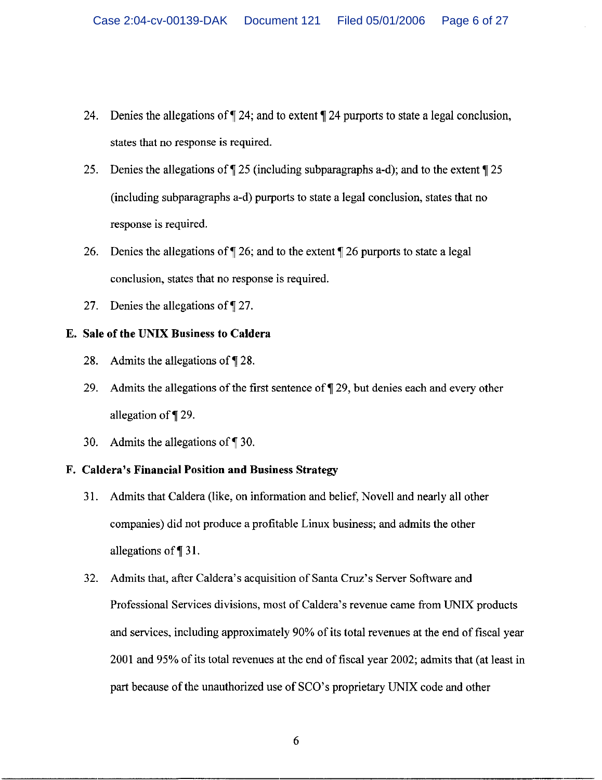- 24. Denies the allegations of  $\P$  24; and to extent  $\P$  24 purports to state a legal conclusion, states that no response is required.
- 25. Denies the allegations of  $\sqrt{25}$  (including subparagraphs a-d); and to the extent  $\sqrt{25}$ (including subparagraphs a-d) purports to state a legal conclusion, states that no response is required.
- 26. Denies the allegations of  $\P$  26; and to the extent  $\P$  26 purports to state a legal conclusion, states that no response is required.
- Denies the allegations of ¶27.  $27.$

## E. Sale of the UNIX Business to Caldera

- 28. Admits the allegations of  $\P$  28.
- Admits the allegations of the first sentence of  $\P$  29, but denies each and every other 29. allegation of ¶29.
- 30. Admits the allegations of  $\P$  30.

## F. Caldera's Financial Position and Business Strategy

- Admits that Caldera (like, on information and belief, Novell and nearly all other 31. companies) did not produce a profitable Linux business; and admits the other allegations of  $\P$  31.
- Admits that, after Caldera's acquisition of Santa Cruz's Server Software and  $32.$ Professional Services divisions, most of Caldera's revenue came from UNIX products and services, including approximately 90% of its total revenues at the end of fiscal year 2001 and 95% of its total revenues at the end of fiscal year 2002; admits that (at least in part because of the unauthorized use of SCO's proprietary UNIX code and other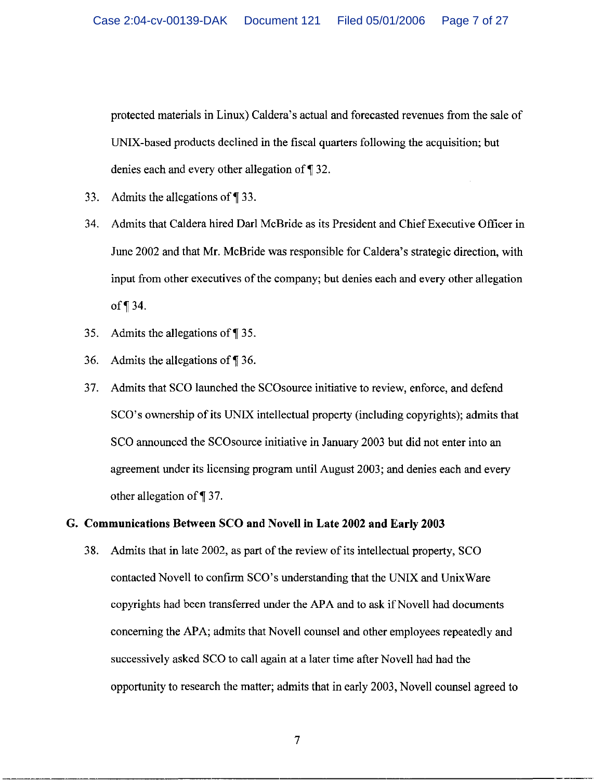protected materials in Linux) Caldera's actual and forecasted revenues from the sale of UNIX-based products declined in the fiscal quarters following the acquisition; but denies each and every other allegation of ¶32.

- 33. Admits the allegations of  $\P$  33.
- 34. Admits that Caldera hired Darl McBride as its President and Chief Executive Officer in June 2002 and that Mr. McBride was responsible for Caldera's strategic direction, with input from other executives of the company; but denies each and every other allegation of  $\P$  34.
- 35. Admits the allegations of  $\P$  35.
- 36. Admits the allegations of  $\P$  36.
- Admits that SCO launched the SCO source initiative to review, enforce, and defend 37. SCO's ownership of its UNIX intellectual property (including copyrights); admits that SCO announced the SCO source initiative in January 2003 but did not enter into an agreement under its licensing program until August 2003; and denies each and every other allegation of  $\P$  37.

## G. Communications Between SCO and Novell in Late 2002 and Early 2003

Admits that in late 2002, as part of the review of its intellectual property, SCO 38. contacted Novell to confirm SCO's understanding that the UNIX and UnixWare copyrights had been transferred under the APA and to ask if Novell had documents concerning the APA; admits that Novell counsel and other employees repeatedly and successively asked SCO to call again at a later time after Novell had had the opportunity to research the matter; admits that in early 2003, Novell counsel agreed to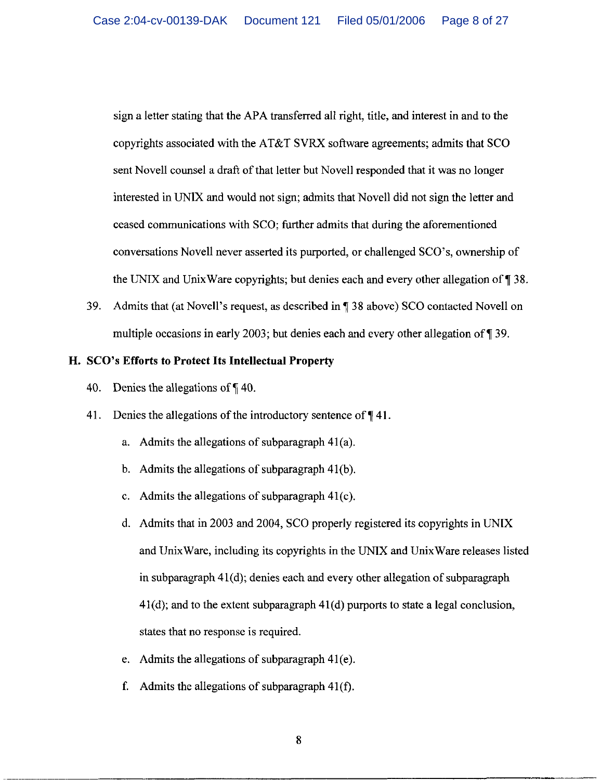sign a letter stating that the APA transferred all right, title, and interest in and to the copyrights associated with the AT&T SVRX software agreements; admits that SCO sent Novell counsel a draft of that letter but Novell responded that it was no longer interested in UNIX and would not sign; admits that Novell did not sign the letter and ceased communications with SCO; further admits that during the aforementioned conversations Novell never asserted its purported, or challenged SCO's, ownership of the UNIX and UnixWare copyrights; but denies each and every other allegation of ¶ 38.

39. Admits that (at Novell's request, as described in ¶ 38 above) SCO contacted Novell on multiple occasions in early 2003; but denies each and every other allegation of  $\P$  39.

## H. SCO's Efforts to Protect Its Intellectual Property

- Denies the allegations of  $\P$  40. 40.
- Denies the allegations of the introductory sentence of  $\P$  41. 41.
	- a. Admits the allegations of subparagraph  $41(a)$ .
	- b. Admits the allegations of subparagraph 41(b).
	- c. Admits the allegations of subparagraph  $41(c)$ .
	- d. Admits that in 2003 and 2004, SCO properly registered its copyrights in UNIX and UnixWare, including its copyrights in the UNIX and UnixWare releases listed in subparagraph 41(d); denies each and every other allegation of subparagraph  $41(d)$ ; and to the extent subparagraph  $41(d)$  purports to state a legal conclusion, states that no response is required.
	- e. Admits the allegations of subparagraph  $41(e)$ .
	- f. Admits the allegations of subparagraph  $41(f)$ .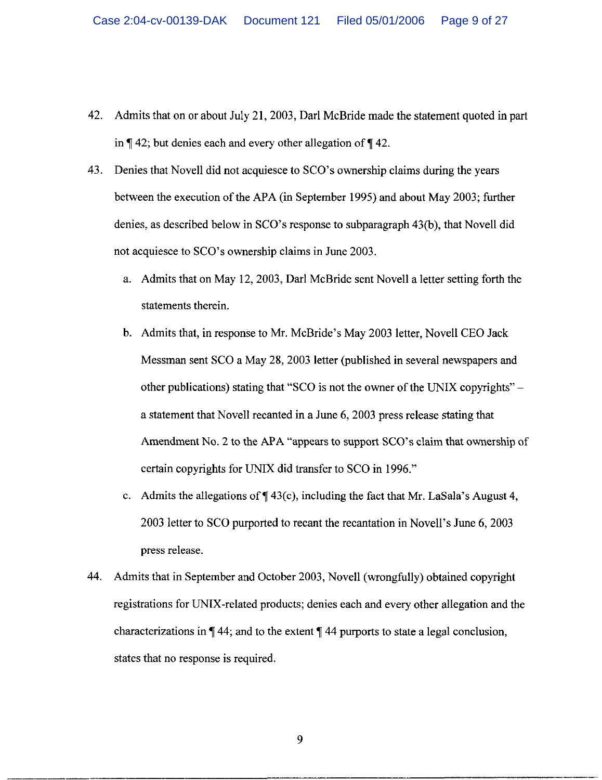- 42. Admits that on or about July 21, 2003, Darl McBride made the statement quoted in part in  $\P$  42; but denies each and every other allegation of  $\P$  42.
- 43. Denies that Novell did not acquiesce to SCO's ownership claims during the years between the execution of the APA (in September 1995) and about May 2003; further denies, as described below in SCO's response to subparagraph 43(b), that Novell did not acquiesce to SCO's ownership claims in June 2003.
	- a. Admits that on May 12, 2003, Darl McBride sent Novell a letter setting forth the statements therein.
	- b. Admits that, in response to Mr. McBride's May 2003 letter, Novell CEO Jack Messman sent SCO a May 28, 2003 letter (published in several newspapers and other publications) stating that "SCO is not the owner of the UNIX copyrights" – a statement that Novell recanted in a June 6, 2003 press release stating that Amendment No. 2 to the APA "appears to support SCO's claim that ownership of certain copyrights for UNIX did transfer to SCO in 1996."
	- c. Admits the allegations of  $\P$  43(c), including the fact that Mr. LaSala's August 4, 2003 letter to SCO purported to recant the recantation in Novell's June 6, 2003 press release.
- 44. Admits that in September and October 2003, Novell (wrongfully) obtained copyright registrations for UNIX-related products; denies each and every other allegation and the characterizations in  $\P$  44; and to the extent  $\P$  44 purports to state a legal conclusion, states that no response is required.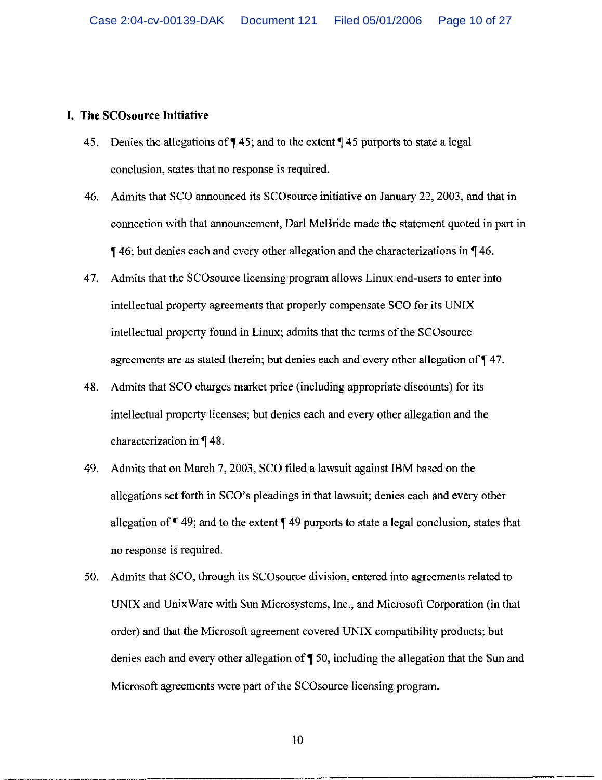## **I. The SCOsource Initiative**

- 45. Denies the allegations of  $\P$  45; and to the extent  $\P$  45 purports to state a legal conclusion, states that no response is required.
- 46. Admits that SCO announced its SCO source initiative on January 22, 2003, and that in connection with that announcement, Darl McBride made the statement quoted in part in  $\P$  46; but denies each and every other allegation and the characterizations in  $\P$  46.
- 47. Admits that the SCO source licensing program allows Linux end-users to enter into intellectual property agreements that properly compensate SCO for its UNIX intellectual property found in Linux; admits that the terms of the SCO source agreements are as stated therein; but denies each and every other allegation of 147.
- 48. Admits that SCO charges market price (including appropriate discounts) for its intellectual property licenses; but denies each and every other allegation and the characterization in ¶48.
- 49. Admits that on March 7, 2003, SCO filed a lawsuit against IBM based on the allegations set forth in SCO's pleadings in that lawsuit; denies each and every other allegation of  $\P$  49; and to the extent  $\P$  49 purports to state a legal conclusion, states that no response is required.
- 50. Admits that SCO, through its SCO source division, entered into agreements related to UNIX and UnixWare with Sun Microsystems, Inc., and Microsoft Corporation (in that order) and that the Microsoft agreement covered UNIX compatibility products; but denies each and every other allegation of  $\P$  50, including the allegation that the Sun and Microsoft agreements were part of the SCO source licensing program.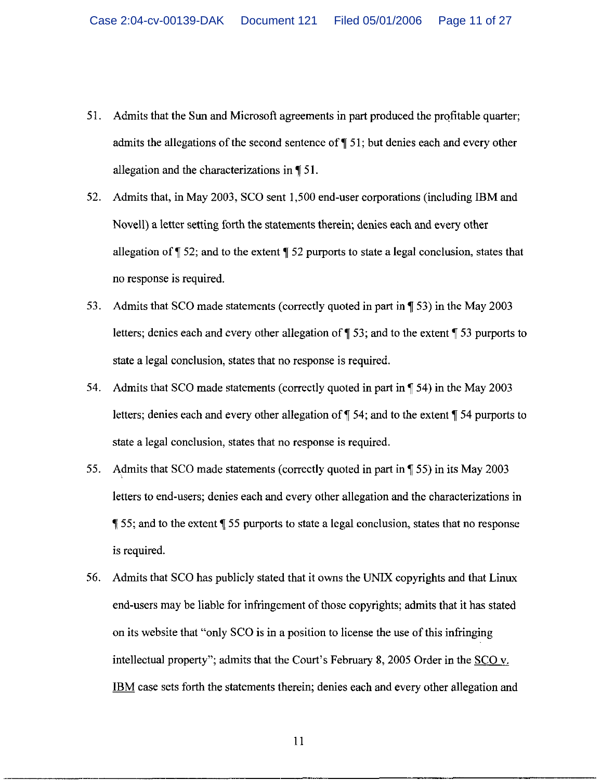- 51. Admits that the Sun and Microsoft agreements in part produced the profitable quarter; admits the allegations of the second sentence of  $\P$  51; but denies each and every other allegation and the characterizations in  $\P$  51.
- 52. Admits that, in May 2003, SCO sent 1,500 end-user corporations (including IBM and Novell) a letter setting forth the statements therein; denies each and every other allegation of  $\P$  52; and to the extent  $\P$  52 purports to state a legal conclusion, states that no response is required.
- 53. Admits that SCO made statements (correctly quoted in part in ¶ 53) in the May 2003 letters; denies each and every other allegation of  $\parallel$  53; and to the extent  $\parallel$  53 purports to state a legal conclusion, states that no response is required.
- 54. Admits that SCO made statements (correctly quoted in part in \[ 54) in the May 2003 letters; denies each and every other allegation of  $\P$  54; and to the extent  $\P$  54 purports to state a legal conclusion, states that no response is required.
- 55. Admits that SCO made statements (correctly quoted in part in \[\vec{55}) in its May 2003 letters to end-users; denies each and every other allegation and the characterizations in 155; and to the extent 155 purports to state a legal conclusion, states that no response is required.
- Admits that SCO has publicly stated that it owns the UNIX copyrights and that Linux 56. end-users may be liable for infringement of those copyrights; admits that it has stated on its website that "only SCO is in a position to license the use of this infringing intellectual property"; admits that the Court's February 8, 2005 Order in the SCO v. IBM case sets forth the statements therein; denies each and every other allegation and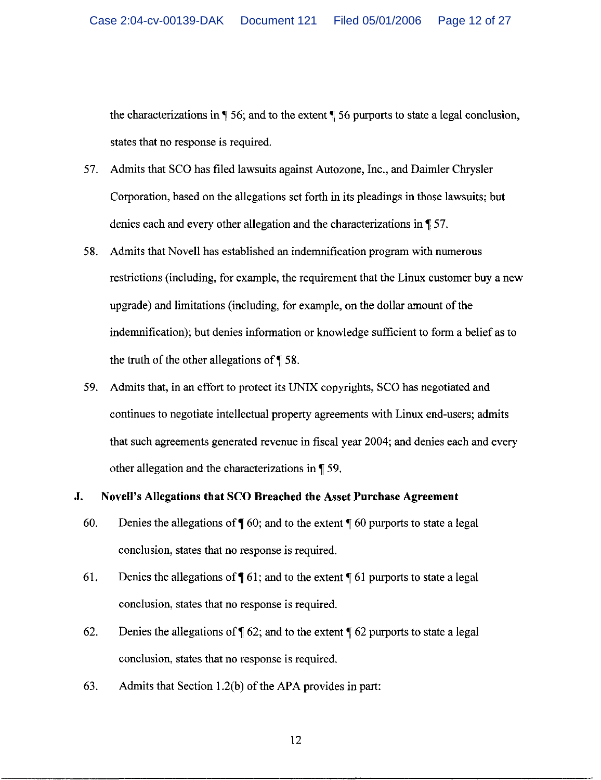the characterizations in  $\P$  56; and to the extent  $\P$  56 purports to state a legal conclusion, states that no response is required.

- Admits that SCO has filed lawsuits against Autozone, Inc., and Daimler Chrysler 57. Corporation, based on the allegations set forth in its pleadings in those lawsuits; but denies each and every other allegation and the characterizations in ¶ 57.
- 58. Admits that Novell has established an indemnification program with numerous restrictions (including, for example, the requirement that the Linux customer buy a new upgrade) and limitations (including, for example, on the dollar amount of the indemnification); but denies information or knowledge sufficient to form a belief as to the truth of the other allegations of  $\P$  58.
- Admits that, in an effort to protect its UNIX copyrights, SCO has negotiated and 59. continues to negotiate intellectual property agreements with Linux end-users; admits that such agreements generated revenue in fiscal year 2004; and denies each and every other allegation and the characterizations in \[ 59.

#### J. Novell's Allegations that SCO Breached the Asset Purchase Agreement

- 60. Denies the allegations of  $\P$  60; and to the extent  $\P$  60 purports to state a legal conclusion, states that no response is required.
- 61. Denies the allegations of  $\P$  61; and to the extent  $\P$  61 purports to state a legal conclusion, states that no response is required.
- 62. Denies the allegations of  $\sqrt{\ }$  62; and to the extent  $\sqrt{\ }$  62 purports to state a legal conclusion, states that no response is required.
- 63. Admits that Section  $1.2(b)$  of the APA provides in part: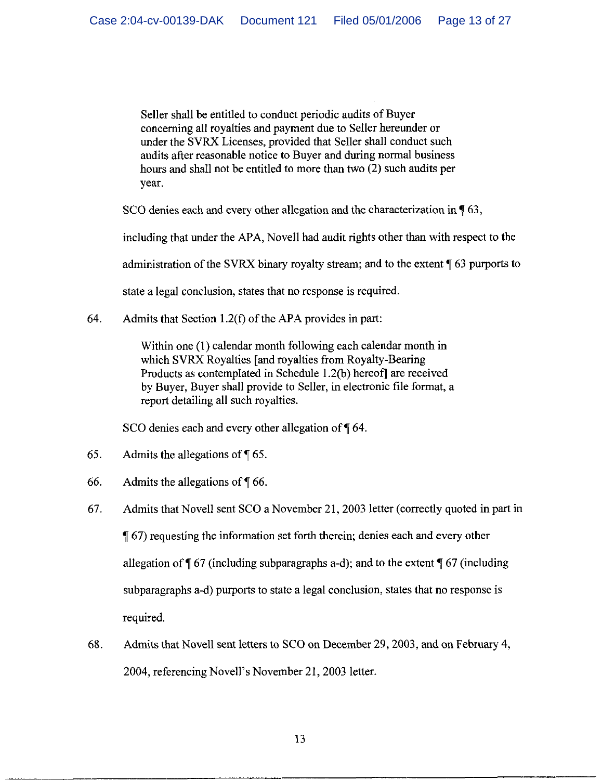Seller shall be entitled to conduct periodic audits of Buyer concerning all royalties and payment due to Seller hereunder or under the SVRX Licenses, provided that Seller shall conduct such audits after reasonable notice to Buyer and during normal business hours and shall not be entitled to more than two (2) such audits per vear.

SCO denies each and every other allegation and the characterization in \, 63,

including that under the APA, Novell had audit rights other than with respect to the

administration of the SVRX binary royalty stream; and to the extent ¶ 63 purports to

state a legal conclusion, states that no response is required.

64. Admits that Section 1.2(f) of the APA provides in part:

> Within one (1) calendar month following each calendar month in which SVRX Royalties [and royalties from Royalty-Bearing] Products as contemplated in Schedule 1.2(b) hereof] are received by Buyer, Buyer shall provide to Seller, in electronic file format, a report detailing all such royalties.

SCO denies each and every other allegation of  $\P$  64.

- 65. Admits the allegations of  $\P$  65.
- 66. Admits the allegations of  $\P$  66.
- Admits that Novell sent SCO a November 21, 2003 letter (correctly quoted in part in 67. 1 (67) requesting the information set forth therein; denies each and every other allegation of  $\P$  67 (including subparagraphs a-d); and to the extent  $\P$  67 (including subparagraphs a-d) purports to state a legal conclusion, states that no response is required.
- 68. Admits that Novell sent letters to SCO on December 29, 2003, and on February 4, 2004, referencing Novell's November 21, 2003 letter.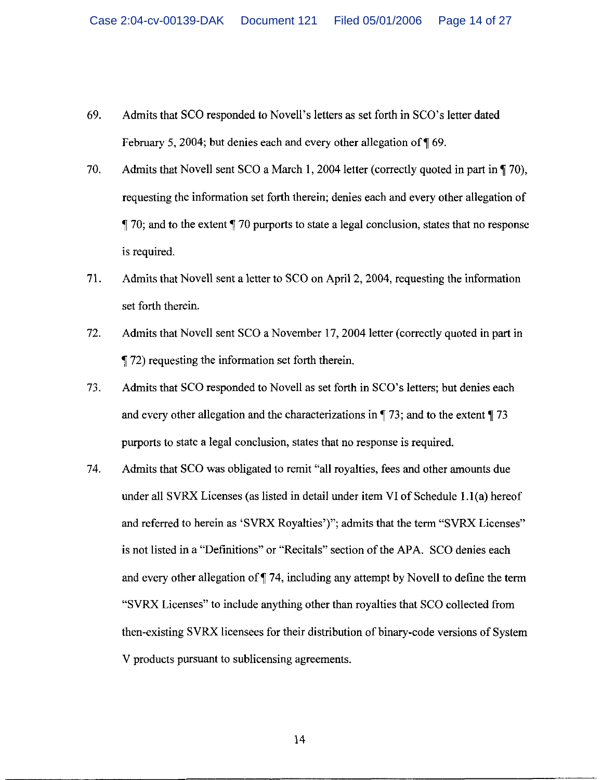- 69. Admits that SCO responded to Novell's letters as set forth in SCO's letter dated February 5, 2004; but denies each and every other allegation of 169.
- 70. Admits that Novell sent SCO a March 1, 2004 letter (correctly quoted in part in  $\P$  70). requesting the information set forth therein; denies each and every other allegation of  $\P$  70; and to the extent  $\P$  70 purports to state a legal conclusion, states that no response is required.
- 71. Admits that Novell sent a letter to SCO on April 2, 2004, requesting the information set forth therein.
- 72. Admits that Novell sent SCO a November 17, 2004 letter (correctly quoted in part in 172) requesting the information set forth therein.
- 73. Admits that SCO responded to Novell as set forth in SCO's letters; but denies each and every other allegation and the characterizations in  $\P$  73; and to the extent  $\P$  73 purports to state a legal conclusion, states that no response is required.
- 74. Admits that SCO was obligated to remit "all royalties, fees and other amounts due under all SVRX Licenses (as listed in detail under item VI of Schedule 1.1(a) hereof and referred to herein as 'SVRX Royalties')"; admits that the term "SVRX Licenses" is not listed in a "Definitions" or "Recitals" section of the APA. SCO denies each and every other allegation of  $\P$  74, including any attempt by Novell to define the term "SVRX Licenses" to include anything other than royalties that SCO collected from then-existing SVRX licensees for their distribution of binary-code versions of System V products pursuant to sublicensing agreements.

14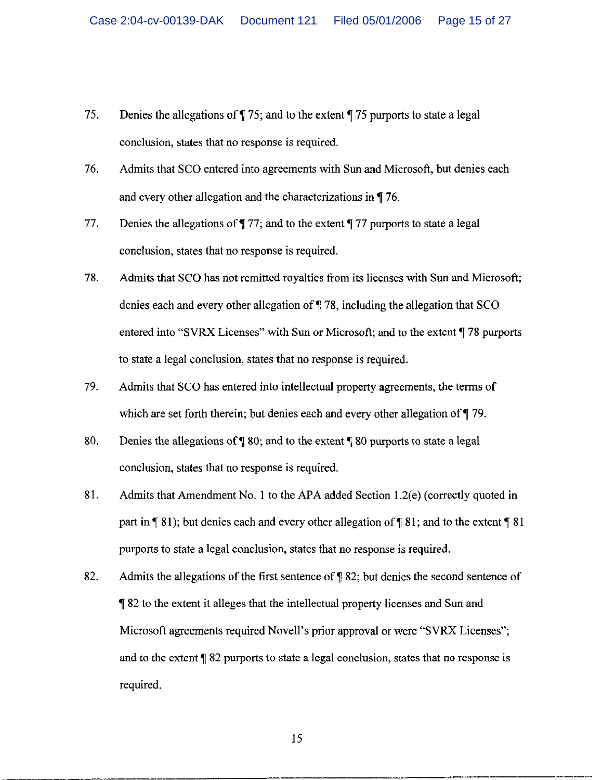- 75. Denies the allegations of  $\P$  75; and to the extent  $\P$  75 purports to state a legal conclusion, states that no response is required.
- 76. Admits that SCO entered into agreements with Sun and Microsoft, but denies each and every other allegation and the characterizations in  $\P$  76.
- 77. Denies the allegations of  $\P$  77; and to the extent  $\P$  77 purports to state a legal conclusion, states that no response is required.
- 78. Admits that SCO has not remitted royalties from its licenses with Sun and Microsoft; denies each and every other allegation of  $\P$  78, including the allegation that SCO entered into "SVRX Licenses" with Sun or Microsoft; and to the extent ¶78 purports to state a legal conclusion, states that no response is required.
- 79. Admits that SCO has entered into intellectual property agreements, the terms of which are set forth therein; but denies each and every other allegation of ¶ 79.
- 80. Denies the allegations of  $\P$  80; and to the extent  $\P$  80 purports to state a legal conclusion, states that no response is required.
- Admits that Amendment No. 1 to the APA added Section 1.2(e) (correctly quoted in 81. part in  $\P$  81); but denies each and every other allegation of  $\P$  81; and to the extent  $\P$  81 purports to state a legal conclusion, states that no response is required.
- 82. Admits the allegations of the first sentence of ¶ 82; but denies the second sentence of **182** to the extent it alleges that the intellectual property licenses and Sun and Microsoft agreements required Novell's prior approval or were "SVRX Licenses"; and to the extent ¶ 82 purports to state a legal conclusion, states that no response is required.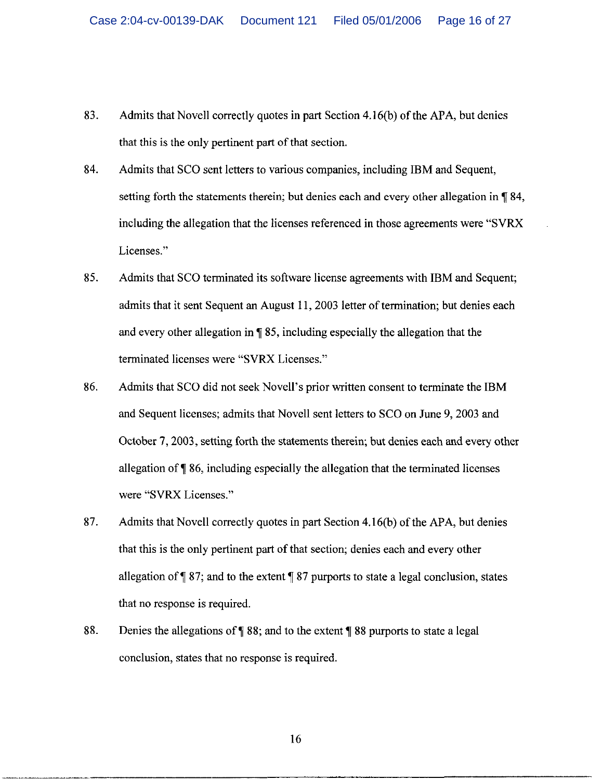- 83. Admits that Novell correctly quotes in part Section 4.16(b) of the APA, but denies that this is the only pertinent part of that section.
- 84. Admits that SCO sent letters to various companies, including IBM and Sequent, setting forth the statements therein; but denies each and every other allegation in \, 84. including the allegation that the licenses referenced in those agreements were "SVRX" Licenses."
- 85. Admits that SCO terminated its software license agreements with IBM and Sequent: admits that it sent Sequent an August 11, 2003 letter of termination: but denies each and every other allegation in  $\P$  85, including especially the allegation that the terminated licenses were "SVRX Licenses."
- 86. Admits that SCO did not seek Novell's prior written consent to terminate the IBM and Sequent licenses; admits that Novell sent letters to SCO on June 9, 2003 and October 7, 2003, setting forth the statements therein; but denies each and every other allegation of ¶ 86, including especially the allegation that the terminated licenses were "SVRX Licenses."
- 87. Admits that Novell correctly quotes in part Section 4.16(b) of the APA, but denies that this is the only pertinent part of that section; denies each and every other allegation of  $\sqrt{ }$  87; and to the extent  $\sqrt{ }$  87 purports to state a legal conclusion, states that no response is required.
- 88. Denies the allegations of  $\P$  88; and to the extent  $\P$  88 purports to state a legal conclusion, states that no response is required.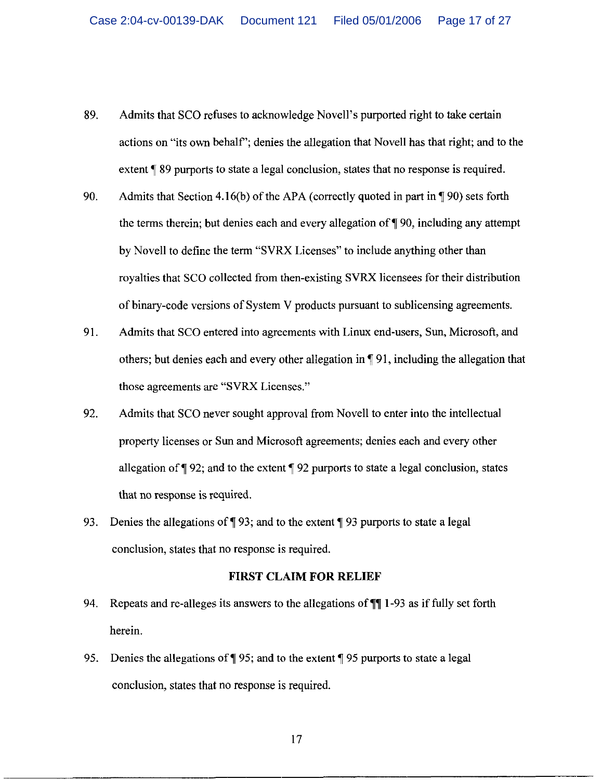- 89. Admits that SCO refuses to acknowledge Novell's purported right to take certain actions on "its own behalf"; denies the allegation that Novell has that right; and to the extent ¶ 89 purports to state a legal conclusion, states that no response is required.
- 90. Admits that Section 4.16(b) of the APA (correctly quoted in part in  $\P$  90) sets forth the terms therein; but denies each and every allegation of  $\P$  90, including any attempt by Novell to define the term "SVRX Licenses" to include anything other than royalties that SCO collected from then-existing SVRX licensees for their distribution of binary-code versions of System V products pursuant to sublicensing agreements.
- 91. Admits that SCO entered into agreements with Linux end-users, Sun, Microsoft, and others; but denies each and every other allegation in ¶91, including the allegation that those agreements are "SVRX Licenses."
- 92. Admits that SCO never sought approval from Novell to enter into the intellectual property licenses or Sun and Microsoft agreements; denies each and every other allegation of  $\P$  92; and to the extent  $\P$  92 purports to state a legal conclusion, states that no response is required.
- 93. Denies the allegations of  $\P$  93; and to the extent  $\P$  93 purports to state a legal conclusion, states that no response is required.

#### **FIRST CLAIM FOR RELIEF**

- Repeats and re-alleges its answers to the allegations of  $\P$  1-93 as if fully set forth 94. herein.
- Denies the allegations of  $\P$  95; and to the extent  $\P$  95 purports to state a legal 95. conclusion, states that no response is required.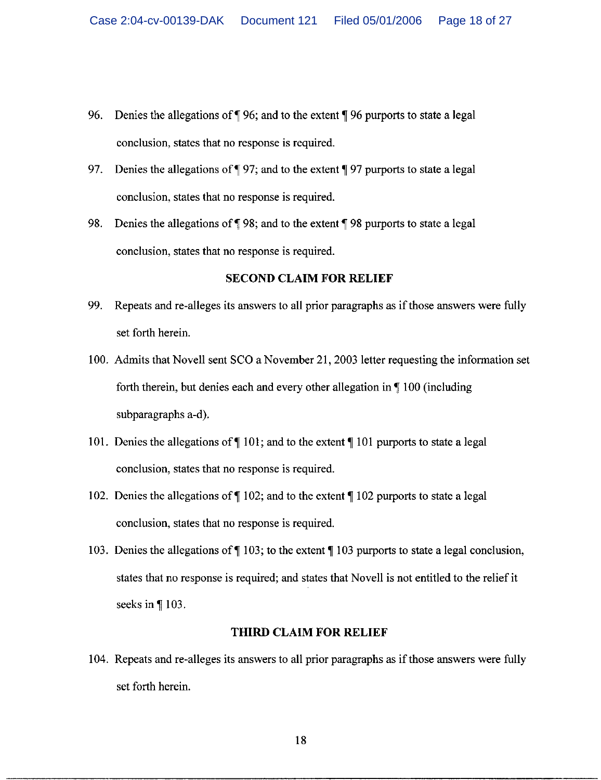- 96. Denies the allegations of  $\P$  96; and to the extent  $\P$  96 purports to state a legal conclusion, states that no response is required.
- Denies the allegations of  $\P$  97; and to the extent  $\P$  97 purports to state a legal 97. conclusion, states that no response is required.
- 98. Denies the allegations of 198; and to the extent 198 purports to state a legal conclusion, states that no response is required.

## **SECOND CLAIM FOR RELIEF**

- 99. Repeats and re-alleges its answers to all prior paragraphs as if those answers were fully set forth herein.
- 100. Admits that Novell sent SCO a November 21, 2003 letter requesting the information set forth therein, but denies each and every other allegation in  $\P$  100 (including subparagraphs a-d).
- 101. Denies the allegations of  $\P$  101; and to the extent  $\P$  101 purports to state a legal conclusion, states that no response is required.
- 102. Denies the allegations of  $\P$  102; and to the extent  $\P$  102 purports to state a legal conclusion, states that no response is required.
- 103. Denies the allegations of  $\P$  103; to the extent  $\P$  103 purports to state a legal conclusion, states that no response is required; and states that Novell is not entitled to the relief it seeks in ¶103.

#### **THIRD CLAIM FOR RELIEF**

104. Repeats and re-alleges its answers to all prior paragraphs as if those answers were fully set forth herein.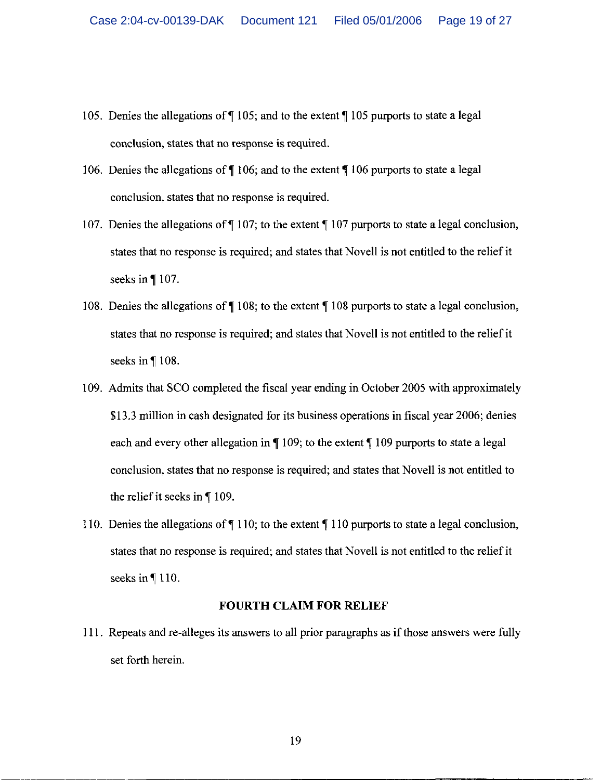- 105. Denies the allegations of  $\P$  105; and to the extent  $\P$  105 purports to state a legal conclusion, states that no response is required.
- 106. Denies the allegations of  $\P$  106; and to the extent  $\P$  106 purports to state a legal conclusion, states that no response is required.
- 107. Denies the allegations of  $\P$  107; to the extent  $\P$  107 purports to state a legal conclusion, states that no response is required; and states that Novell is not entitled to the relief it seeks in ¶107.
- 108. Denies the allegations of  $\P$  108; to the extent  $\P$  108 purports to state a legal conclusion, states that no response is required; and states that Novell is not entitled to the relief it seeks in  $\P$  108.
- 109. Admits that SCO completed the fiscal year ending in October 2005 with approximately \$13.3 million in cash designated for its business operations in fiscal year 2006; denies each and every other allegation in  $\P$  109; to the extent  $\P$  109 purports to state a legal conclusion, states that no response is required; and states that Novell is not entitled to the relief it seeks in  $\P$  109.
- 110. Denies the allegations of  $\P$  110; to the extent  $\P$  110 purports to state a legal conclusion, states that no response is required; and states that Novell is not entitled to the relief it seeks in  $\P$  110.

#### **FOURTH CLAIM FOR RELIEF**

111. Repeats and re-alleges its answers to all prior paragraphs as if those answers were fully set forth herein.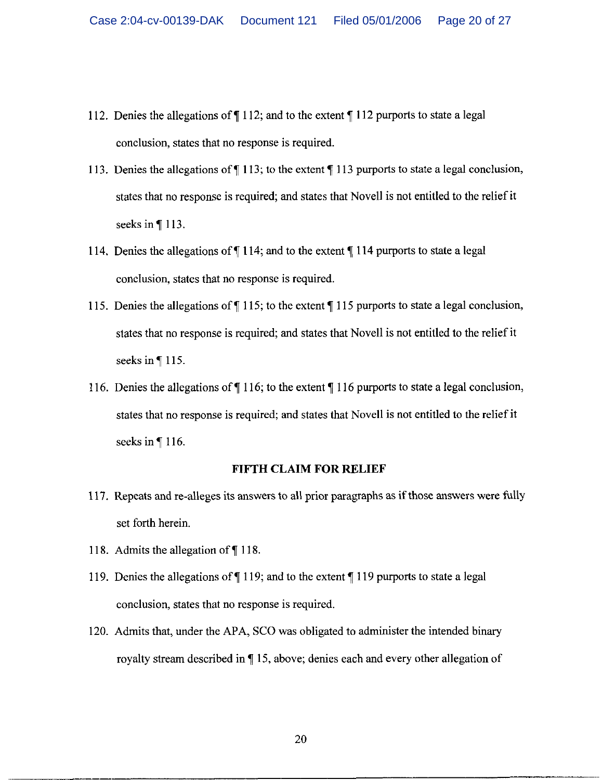- 112. Denies the allegations of  $\P$  112; and to the extent  $\P$  112 purports to state a legal conclusion, states that no response is required.
- 113. Denies the allegations of  $\P$  113; to the extent  $\P$  113 purports to state a legal conclusion, states that no response is required; and states that Novell is not entitled to the relief it seeks in  $\P$  113.
- 114. Denies the allegations of  $\P$  114; and to the extent  $\P$  114 purports to state a legal conclusion, states that no response is required.
- 115. Denies the allegations of  $\P$  115; to the extent  $\P$  115 purports to state a legal conclusion, states that no response is required; and states that Novell is not entitled to the relief it seeks in  $\P$  115.
- 116. Denies the allegations of  $\P$  116; to the extent  $\P$  116 purports to state a legal conclusion, states that no response is required; and states that Novell is not entitled to the relief it seeks in ¶116.

#### **FIFTH CLAIM FOR RELIEF**

- 117. Repeats and re-alleges its answers to all prior paragraphs as if those answers were fully set forth herein.
- 118. Admits the allegation of ¶118.
- 119. Denies the allegations of  $\P$  119; and to the extent  $\P$  119 purports to state a legal conclusion, states that no response is required.
- 120. Admits that, under the APA, SCO was obligated to administer the intended binary royalty stream described in \[\epsilonglengtheral 15, above; denies each and every other allegation of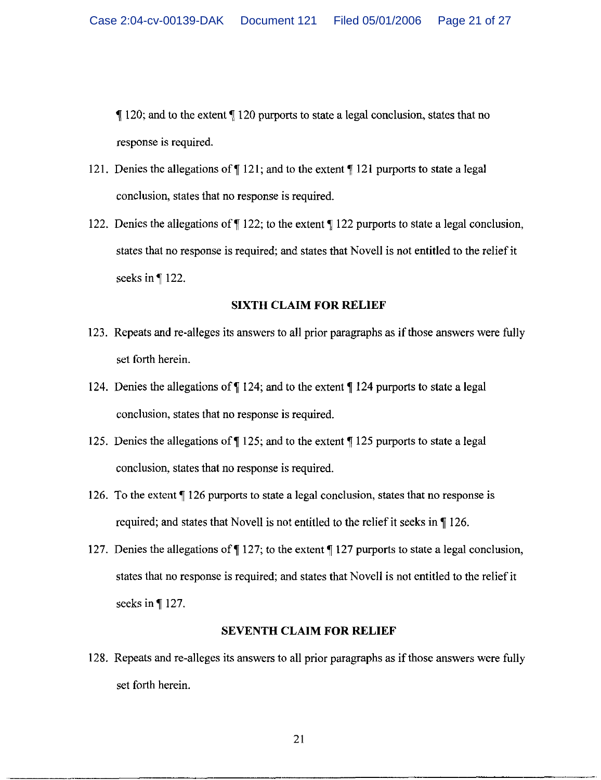$\P$  120; and to the extent  $\P$  120 purports to state a legal conclusion, states that no response is required.

- 121. Denies the allegations of  $\P$  121; and to the extent  $\P$  121 purports to state a legal conclusion, states that no response is required.
- 122. Denies the allegations of ¶ 122; to the extent ¶ 122 purports to state a legal conclusion. states that no response is required; and states that Novell is not entitled to the relief it seeks in ¶122.

#### **SIXTH CLAIM FOR RELIEF**

- 123. Repeats and re-alleges its answers to all prior paragraphs as if those answers were fully set forth herein.
- 124. Denies the allegations of  $\P$  124; and to the extent  $\P$  124 purports to state a legal conclusion, states that no response is required.
- 125. Denies the allegations of ¶ 125; and to the extent ¶ 125 purports to state a legal conclusion, states that no response is required.
- 126. To the extent ¶ 126 purports to state a legal conclusion, states that no response is required; and states that Novell is not entitled to the relief it seeks in \[\empthi 126.
- 127. Denies the allegations of  $\P$  127; to the extent  $\P$  127 purports to state a legal conclusion, states that no response is required; and states that Novell is not entitled to the relief it seeks in  $\P$  127.

#### **SEVENTH CLAIM FOR RELIEF**

128. Repeats and re-alleges its answers to all prior paragraphs as if those answers were fully set forth herein.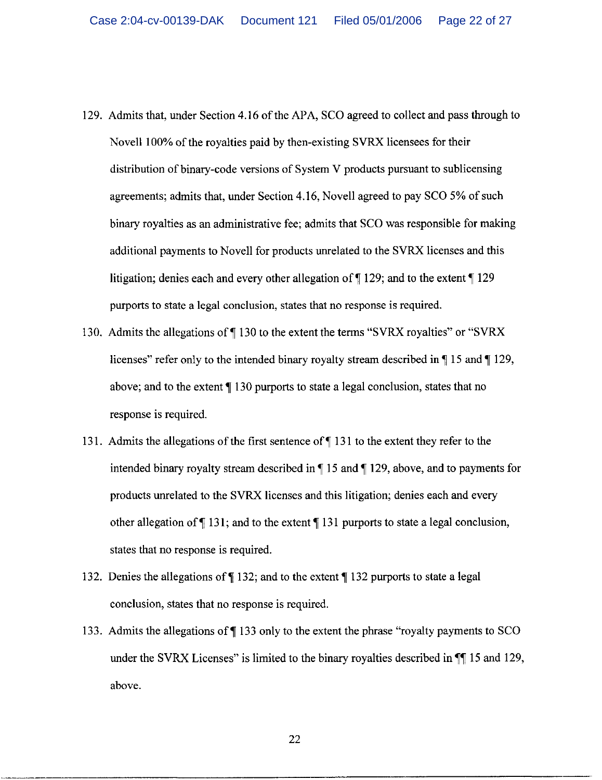- 129. Admits that, under Section 4.16 of the APA, SCO agreed to collect and pass through to Novell 100% of the royalties paid by then-existing SVRX licensees for their distribution of binary-code versions of System V products pursuant to sublicensing agreements; admits that, under Section 4.16, Novell agreed to pay SCO 5% of such binary royalties as an administrative fee; admits that SCO was responsible for making additional payments to Novell for products unrelated to the SVRX licenses and this litigation; denies each and every other allegation of  $\sqrt{129}$ ; and to the extent  $\sqrt{129}$ purports to state a legal conclusion, states that no response is required.
- 130. Admits the allegations of ¶130 to the extent the terms "SVRX royalties" or "SVRX" licenses" refer only to the intended binary royalty stream described in  $\P$  15 and  $\P$  129, above; and to the extent  $\P$  130 purports to state a legal conclusion, states that no response is required.
- 131. Admits the allegations of the first sentence of  $\P$  131 to the extent they refer to the intended binary royalty stream described in  $\P$  15 and  $\P$  129, above, and to payments for products unrelated to the SVRX licenses and this litigation; denies each and every other allegation of  $\P$  131; and to the extent  $\P$  131 purports to state a legal conclusion, states that no response is required.
- 132. Denies the allegations of ¶132; and to the extent ¶132 purports to state a legal conclusion, states that no response is required.
- 133. Admits the allegations of ¶133 only to the extent the phrase "royalty payments to SCO under the SVRX Licenses" is limited to the binary royalties described in  $\P$  15 and 129, above.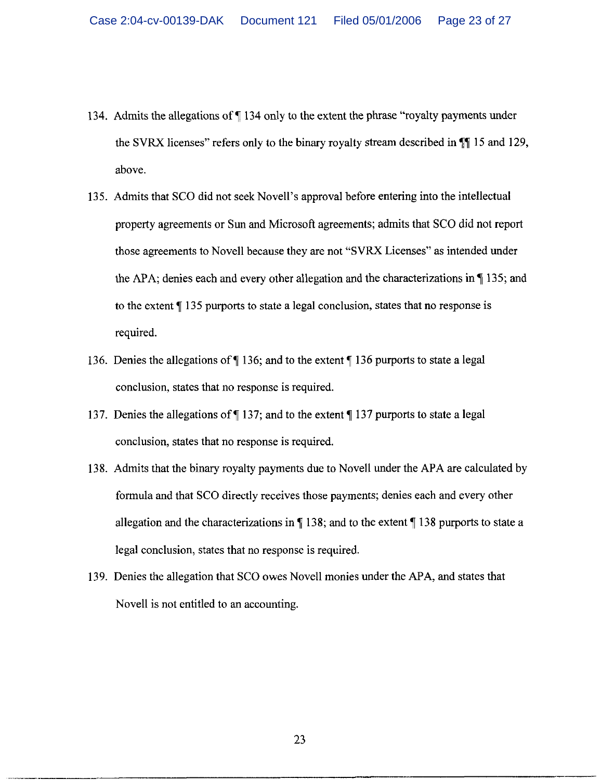- 134. Admits the allegations of  $\P$  134 only to the extent the phrase "royalty payments under the SVRX licenses" refers only to the binary royalty stream described in  $\P$  15 and 129, above.
- 135. Admits that SCO did not seek Novell's approval before entering into the intellectual property agreements or Sun and Microsoft agreements; admits that SCO did not report those agreements to Novell because they are not "SVRX Licenses" as intended under the APA; denies each and every other allegation and the characterizations in  $\P$  135; and to the extent ¶ 135 purports to state a legal conclusion, states that no response is required.
- 136. Denies the allegations of  $\P$  136; and to the extent  $\P$  136 purports to state a legal conclusion, states that no response is required.
- 137. Denies the allegations of ¶137; and to the extent ¶137 purports to state a legal conclusion, states that no response is required.
- 138. Admits that the binary royalty payments due to Novell under the APA are calculated by formula and that SCO directly receives those payments; denies each and every other allegation and the characterizations in  $\P$  138; and to the extent  $\P$  138 purports to state a legal conclusion, states that no response is required.
- 139. Denies the allegation that SCO owes Novell monies under the APA, and states that Novell is not entitled to an accounting.

23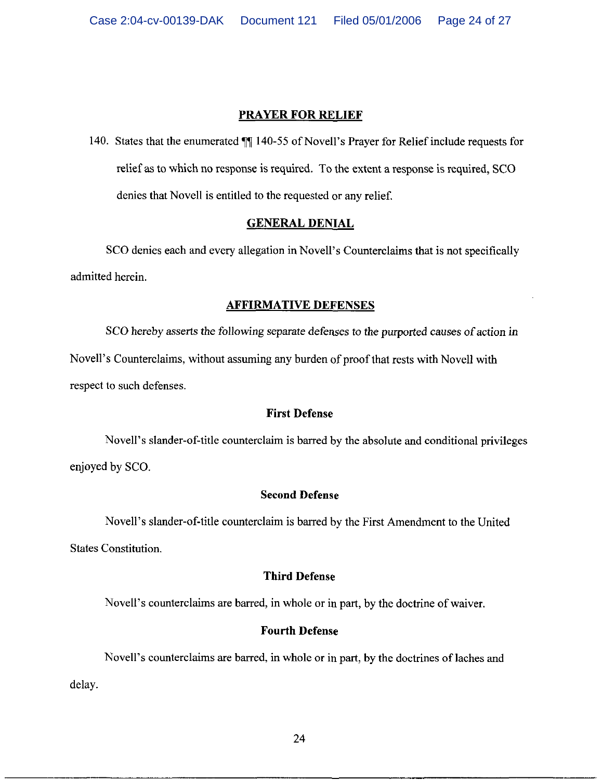## **PRAYER FOR RELIEF**

140. States that the enumerated ¶ 140-55 of Novell's Prayer for Relief include requests for relief as to which no response is required. To the extent a response is required, SCO denies that Novell is entitled to the requested or any relief.

## **GENERAL DENIAL**

SCO denies each and every allegation in Novell's Counterclaims that is not specifically admitted herein.

#### **AFFIRMATIVE DEFENSES**

SCO hereby asserts the following separate defenses to the purported causes of action in Novell's Counterclaims, without assuming any burden of proof that rests with Novell with respect to such defenses.

## **First Defense**

Novell's slander-of-title counterclaim is barred by the absolute and conditional privileges enjoyed by SCO.

## **Second Defense**

Novell's slander-of-title counterclaim is barred by the First Amendment to the United **States Constitution.** 

#### **Third Defense**

Novell's counterclaims are barred, in whole or in part, by the doctrine of waiver.

## **Fourth Defense**

Novell's counterclaims are barred, in whole or in part, by the doctrines of laches and delay.

24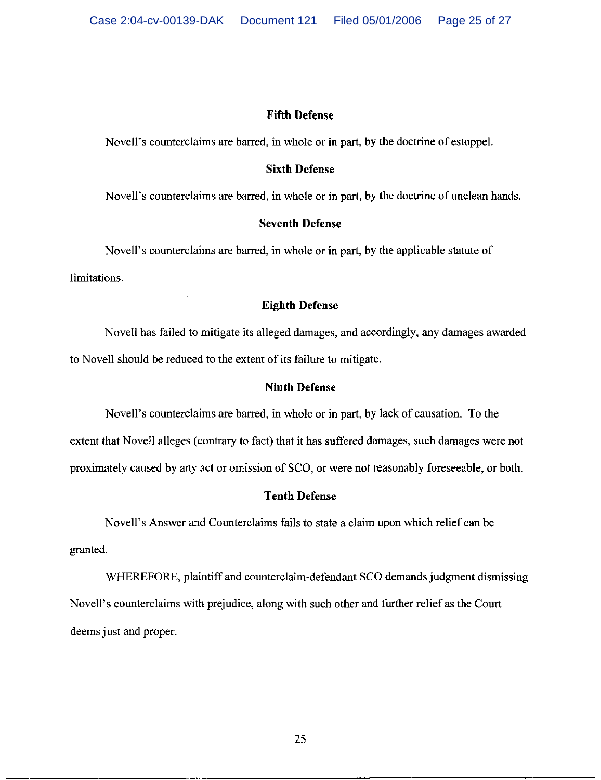## **Fifth Defense**

Novell's counterclaims are barred, in whole or in part, by the doctrine of estoppel.

## **Sixth Defense**

Novell's counterclaims are barred, in whole or in part, by the doctrine of unclean hands.

## **Seventh Defense**

Novell's counterclaims are barred, in whole or in part, by the applicable statute of limitations.

## **Eighth Defense**

Novell has failed to mitigate its alleged damages, and accordingly, any damages awarded to Novell should be reduced to the extent of its failure to mitigate.

## **Ninth Defense**

Novell's counterclaims are barred, in whole or in part, by lack of causation. To the extent that Novell alleges (contrary to fact) that it has suffered damages, such damages were not proximately caused by any act or omission of SCO, or were not reasonably foreseeable, or both.

## **Tenth Defense**

Novell's Answer and Counterclaims fails to state a claim upon which relief can be granted.

WHEREFORE, plaintiff and counterclaim-defendant SCO demands judgment dismissing Novell's counterclaims with prejudice, along with such other and further relief as the Court deems just and proper.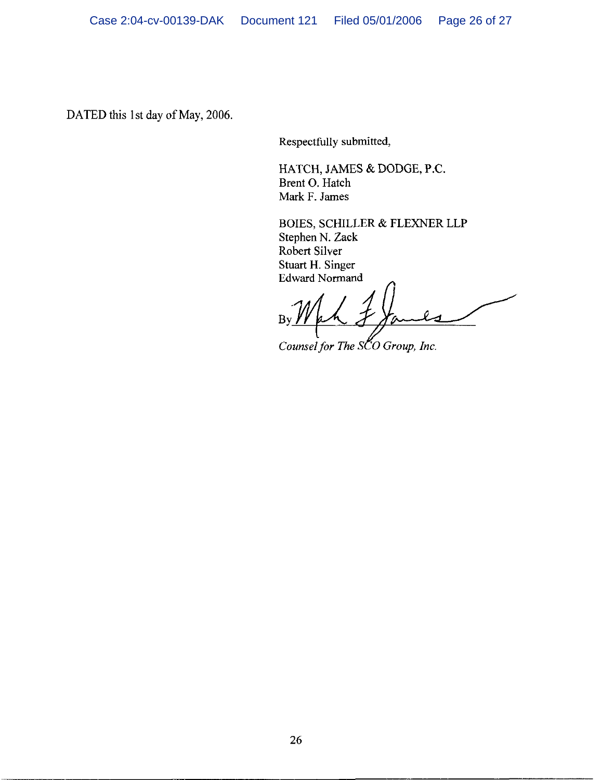DATED this 1st day of May, 2006.

Respectfully submitted,

HATCH, JAMES & DODGE, P.C. Brent O. Hatch Mark F. James

BOIES, SCHILLER & FLEXNER LLP Stephen N. Zack Robert Silver Stuart H. Singer **Edward Normand** 

 $B$ 

Counsel for The SCO Group, Inc.